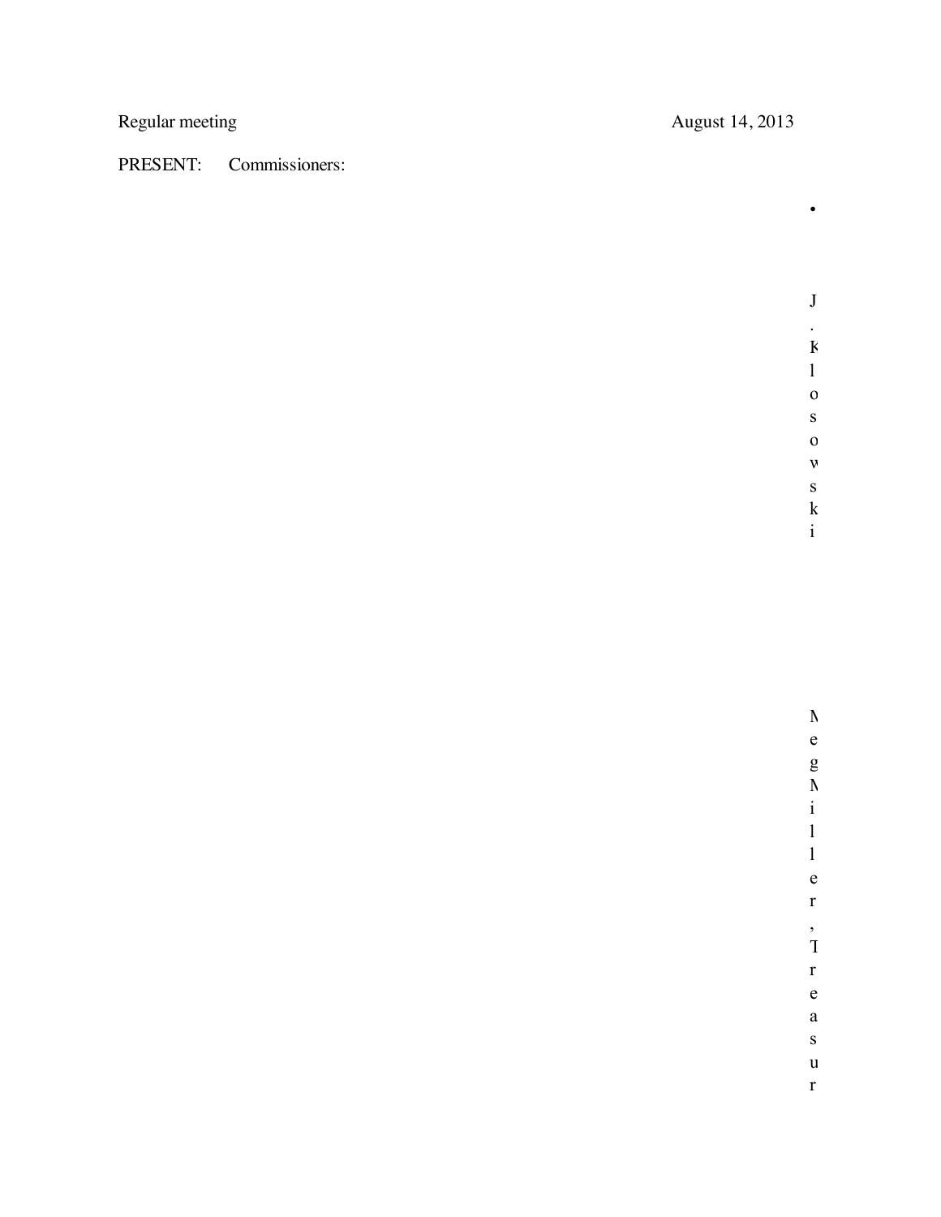## PRESENT: Commissioners:

Regular meeting August 14, 2013

J . K

•

w s  ${\bf k}$ i

M e g M i l l e r , T r e a s u r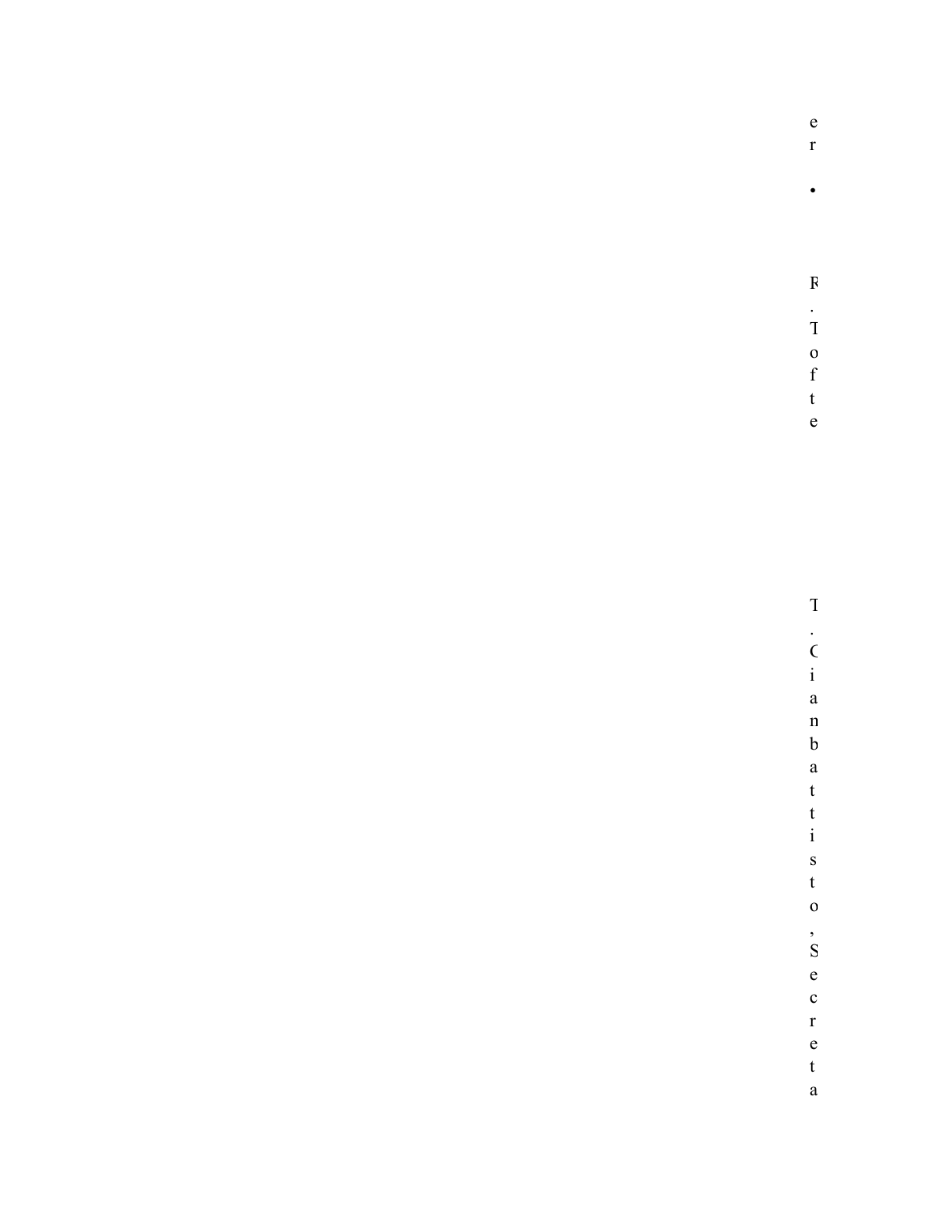|  |  | e |
|--|--|---|
|  |  | r |
|  |  |   |
|  |  |   |
|  |  |   |
|  |  |   |
|  |  |   |

 $\overline{\mathbf{R}}$  $\frac{1}{1}$ 

 $\frac{0}{f}$  $\mathbf{t}$ 

 $\mathbf{e}$ 

 $\overline{1}$  $\frac{1}{i}$ 

 $\mathbf{a}$  $\mathbf n$  $\boldsymbol{b}$  $\mathbf{a}$  $\mathbf t$  $\mathbf{t}$  $\rm i$  $\mathbf{s}$  $\mathbf{t}$  $\mathbf{0}$ 

 $\frac{1}{S}$  $\mathbf{e}$  $\mathbf{c}$  $\mathbf{r}$  $\mathbf{e}$ 

 $\mathfrak{t}$  $\mathbf{a}$